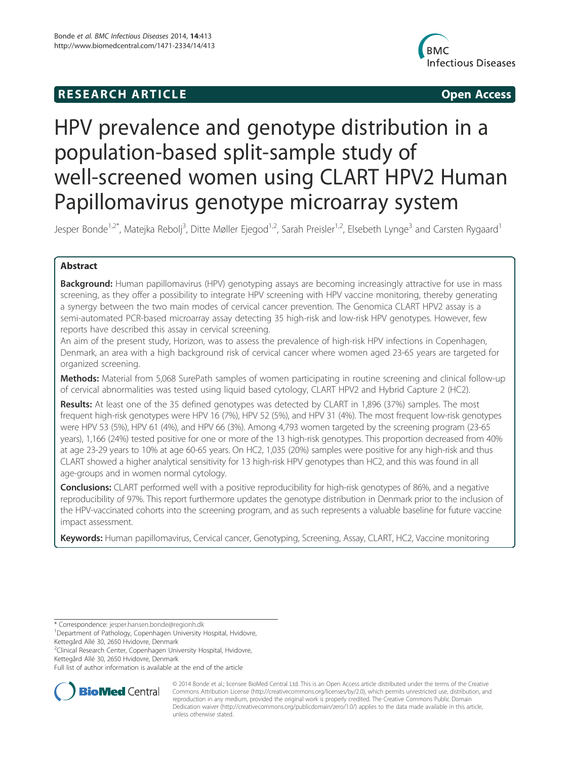## **RESEARCH ARTICLE Example 2014 12:30 The SEAR CHA RESEARCH ARTICLE**



# HPV prevalence and genotype distribution in a population-based split-sample study of well-screened women using CLART HPV2 Human Papillomavirus genotype microarray system

Jesper Bonde<sup>1,2\*</sup>, Matejka Rebolj<sup>3</sup>, Ditte Møller Ejegod<sup>1,2</sup>, Sarah Preisler<sup>1,2</sup>, Elsebeth Lynge<sup>3</sup> and Carsten Rygaard<sup>1</sup>

## Abstract

**Background:** Human papillomavirus (HPV) genotyping assays are becoming increasingly attractive for use in mass screening, as they offer a possibility to integrate HPV screening with HPV vaccine monitoring, thereby generating a synergy between the two main modes of cervical cancer prevention. The Genomica CLART HPV2 assay is a semi-automated PCR-based microarray assay detecting 35 high-risk and low-risk HPV genotypes. However, few reports have described this assay in cervical screening.

An aim of the present study, Horizon, was to assess the prevalence of high-risk HPV infections in Copenhagen, Denmark, an area with a high background risk of cervical cancer where women aged 23-65 years are targeted for organized screening.

Methods: Material from 5,068 SurePath samples of women participating in routine screening and clinical follow-up of cervical abnormalities was tested using liquid based cytology, CLART HPV2 and Hybrid Capture 2 (HC2).

Results: At least one of the 35 defined genotypes was detected by CLART in 1,896 (37%) samples. The most frequent high-risk genotypes were HPV 16 (7%), HPV 52 (5%), and HPV 31 (4%). The most frequent low-risk genotypes were HPV 53 (5%), HPV 61 (4%), and HPV 66 (3%). Among 4,793 women targeted by the screening program (23-65 years), 1,166 (24%) tested positive for one or more of the 13 high-risk genotypes. This proportion decreased from 40% at age 23-29 years to 10% at age 60-65 years. On HC2, 1,035 (20%) samples were positive for any high-risk and thus CLART showed a higher analytical sensitivity for 13 high-risk HPV genotypes than HC2, and this was found in all age-groups and in women normal cytology.

**Conclusions:** CLART performed well with a positive reproducibility for high-risk genotypes of 86%, and a negative reproducibility of 97%. This report furthermore updates the genotype distribution in Denmark prior to the inclusion of the HPV-vaccinated cohorts into the screening program, and as such represents a valuable baseline for future vaccine impact assessment.

Keywords: Human papillomavirus, Cervical cancer, Genotyping, Screening, Assay, CLART, HC2, Vaccine monitoring

\* Correspondence: jesper.hansen.bonde@regionh.dk <sup>1</sup>

<sup>2</sup>Clinical Research Center, Copenhagen University Hospital, Hvidovre, Kettegård Allé 30, 2650 Hvidovre, Denmark

Full list of author information is available at the end of the article



© 2014 Bonde et al.; licensee BioMed Central Ltd. This is an Open Access article distributed under the terms of the Creative Commons Attribution License (http://creativecommons.org/licenses/by/2.0), which permits unrestricted use, distribution, and reproduction in any medium, provided the original work is properly credited. The Creative Commons Public Domain Dedication waiver (http://creativecommons.org/publicdomain/zero/1.0/) applies to the data made available in this article, unless otherwise stated.

<sup>&</sup>lt;sup>1</sup>Department of Pathology, Copenhagen University Hospital, Hvidovre, Kettegård Allé 30, 2650 Hvidovre, Denmark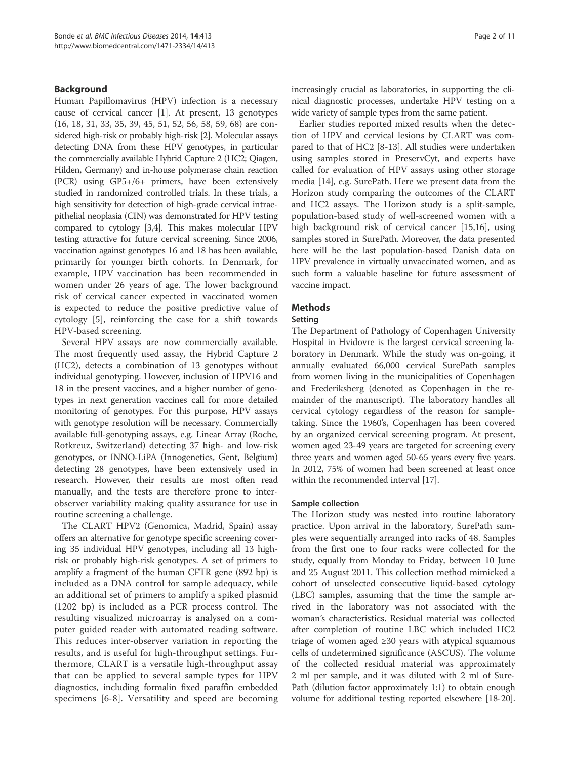## Background

Human Papillomavirus (HPV) infection is a necessary cause of cervical cancer [1]. At present, 13 genotypes (16, 18, 31, 33, 35, 39, 45, 51, 52, 56, 58, 59, 68) are considered high-risk or probably high-risk [2]. Molecular assays detecting DNA from these HPV genotypes, in particular the commercially available Hybrid Capture 2 (HC2; Qiagen, Hilden, Germany) and in-house polymerase chain reaction (PCR) using GP5+/6+ primers, have been extensively studied in randomized controlled trials. In these trials, a high sensitivity for detection of high-grade cervical intraepithelial neoplasia (CIN) was demonstrated for HPV testing compared to cytology [3,4]. This makes molecular HPV testing attractive for future cervical screening. Since 2006, vaccination against genotypes 16 and 18 has been available, primarily for younger birth cohorts. In Denmark, for example, HPV vaccination has been recommended in women under 26 years of age. The lower background risk of cervical cancer expected in vaccinated women is expected to reduce the positive predictive value of cytology [5], reinforcing the case for a shift towards HPV-based screening.

Several HPV assays are now commercially available. The most frequently used assay, the Hybrid Capture 2 (HC2), detects a combination of 13 genotypes without individual genotyping. However, inclusion of HPV16 and 18 in the present vaccines, and a higher number of genotypes in next generation vaccines call for more detailed monitoring of genotypes. For this purpose, HPV assays with genotype resolution will be necessary. Commercially available full-genotyping assays, e.g. Linear Array (Roche, Rotkreuz, Switzerland) detecting 37 high- and low-risk genotypes, or INNO-LiPA (Innogenetics, Gent, Belgium) detecting 28 genotypes, have been extensively used in research. However, their results are most often read manually, and the tests are therefore prone to interobserver variability making quality assurance for use in routine screening a challenge.

The CLART HPV2 (Genomica, Madrid, Spain) assay offers an alternative for genotype specific screening covering 35 individual HPV genotypes, including all 13 highrisk or probably high-risk genotypes. A set of primers to amplify a fragment of the human CFTR gene (892 bp) is included as a DNA control for sample adequacy, while an additional set of primers to amplify a spiked plasmid (1202 bp) is included as a PCR process control. The resulting visualized microarray is analysed on a computer guided reader with automated reading software. This reduces inter-observer variation in reporting the results, and is useful for high-throughput settings. Furthermore, CLART is a versatile high-throughput assay that can be applied to several sample types for HPV diagnostics, including formalin fixed paraffin embedded specimens [6-8]. Versatility and speed are becoming increasingly crucial as laboratories, in supporting the clinical diagnostic processes, undertake HPV testing on a wide variety of sample types from the same patient.

Earlier studies reported mixed results when the detection of HPV and cervical lesions by CLART was compared to that of HC2 [8-13]. All studies were undertaken using samples stored in PreservCyt, and experts have called for evaluation of HPV assays using other storage media [14], e.g. SurePath. Here we present data from the Horizon study comparing the outcomes of the CLART and HC2 assays. The Horizon study is a split-sample, population-based study of well-screened women with a high background risk of cervical cancer [15,16], using samples stored in SurePath. Moreover, the data presented here will be the last population-based Danish data on HPV prevalence in virtually unvaccinated women, and as such form a valuable baseline for future assessment of vaccine impact.

## Methods

#### Setting

The Department of Pathology of Copenhagen University Hospital in Hvidovre is the largest cervical screening laboratory in Denmark. While the study was on-going, it annually evaluated 66,000 cervical SurePath samples from women living in the municipalities of Copenhagen and Frederiksberg (denoted as Copenhagen in the remainder of the manuscript). The laboratory handles all cervical cytology regardless of the reason for sampletaking. Since the 1960's, Copenhagen has been covered by an organized cervical screening program. At present, women aged 23-49 years are targeted for screening every three years and women aged 50-65 years every five years. In 2012, 75% of women had been screened at least once within the recommended interval [17].

#### Sample collection

The Horizon study was nested into routine laboratory practice. Upon arrival in the laboratory, SurePath samples were sequentially arranged into racks of 48. Samples from the first one to four racks were collected for the study, equally from Monday to Friday, between 10 June and 25 August 2011. This collection method mimicked a cohort of unselected consecutive liquid-based cytology (LBC) samples, assuming that the time the sample arrived in the laboratory was not associated with the woman's characteristics. Residual material was collected after completion of routine LBC which included HC2 triage of women aged ≥30 years with atypical squamous cells of undetermined significance (ASCUS). The volume of the collected residual material was approximately 2 ml per sample, and it was diluted with 2 ml of Sure-Path (dilution factor approximately 1:1) to obtain enough volume for additional testing reported elsewhere [18-20].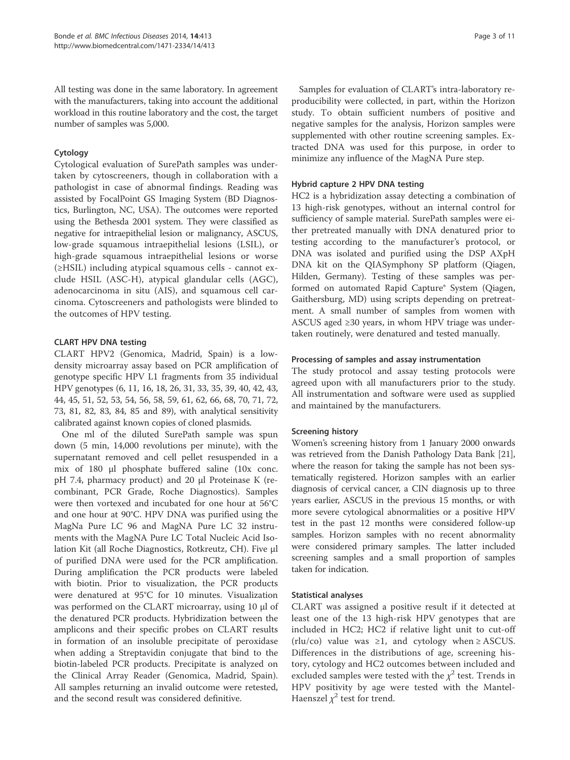All testing was done in the same laboratory. In agreement with the manufacturers, taking into account the additional workload in this routine laboratory and the cost, the target number of samples was 5,000.

## Cytology

Cytological evaluation of SurePath samples was undertaken by cytoscreeners, though in collaboration with a pathologist in case of abnormal findings. Reading was assisted by FocalPoint GS Imaging System (BD Diagnostics, Burlington, NC, USA). The outcomes were reported using the Bethesda 2001 system. They were classified as negative for intraepithelial lesion or malignancy, ASCUS, low-grade squamous intraepithelial lesions (LSIL), or high-grade squamous intraepithelial lesions or worse (≥HSIL) including atypical squamous cells - cannot exclude HSIL (ASC-H), atypical glandular cells (AGC), adenocarcinoma in situ (AIS), and squamous cell carcinoma. Cytoscreeners and pathologists were blinded to the outcomes of HPV testing.

## CLART HPV DNA testing

CLART HPV2 (Genomica, Madrid, Spain) is a lowdensity microarray assay based on PCR amplification of genotype specific HPV L1 fragments from 35 individual HPV genotypes (6, 11, 16, 18, 26, 31, 33, 35, 39, 40, 42, 43, 44, 45, 51, 52, 53, 54, 56, 58, 59, 61, 62, 66, 68, 70, 71, 72, 73, 81, 82, 83, 84, 85 and 89), with analytical sensitivity calibrated against known copies of cloned plasmids.

One ml of the diluted SurePath sample was spun down (5 min, 14,000 revolutions per minute), with the supernatant removed and cell pellet resuspended in a mix of 180 μl phosphate buffered saline (10x conc. pH 7.4, pharmacy product) and 20 μl Proteinase K (recombinant, PCR Grade, Roche Diagnostics). Samples were then vortexed and incubated for one hour at 56°C and one hour at 90°C. HPV DNA was purified using the MagNa Pure LC 96 and MagNA Pure LC 32 instruments with the MagNA Pure LC Total Nucleic Acid Isolation Kit (all Roche Diagnostics, Rotkreutz, CH). Five μl of purified DNA were used for the PCR amplification. During amplification the PCR products were labeled with biotin. Prior to visualization, the PCR products were denatured at 95°C for 10 minutes. Visualization was performed on the CLART microarray, using 10 μl of the denatured PCR products. Hybridization between the amplicons and their specific probes on CLART results in formation of an insoluble precipitate of peroxidase when adding a Streptavidin conjugate that bind to the biotin-labeled PCR products. Precipitate is analyzed on the Clinical Array Reader (Genomica, Madrid, Spain). All samples returning an invalid outcome were retested, and the second result was considered definitive.

Samples for evaluation of CLART's intra-laboratory reproducibility were collected, in part, within the Horizon study. To obtain sufficient numbers of positive and negative samples for the analysis, Horizon samples were supplemented with other routine screening samples. Extracted DNA was used for this purpose, in order to minimize any influence of the MagNA Pure step.

## Hybrid capture 2 HPV DNA testing

HC2 is a hybridization assay detecting a combination of 13 high-risk genotypes, without an internal control for sufficiency of sample material. SurePath samples were either pretreated manually with DNA denatured prior to testing according to the manufacturer's protocol, or DNA was isolated and purified using the DSP AXpH DNA kit on the QIASymphony SP platform (Qiagen, Hilden, Germany). Testing of these samples was performed on automated Rapid Capture® System (Qiagen, Gaithersburg, MD) using scripts depending on pretreatment. A small number of samples from women with ASCUS aged ≥30 years, in whom HPV triage was undertaken routinely, were denatured and tested manually.

## Processing of samples and assay instrumentation

The study protocol and assay testing protocols were agreed upon with all manufacturers prior to the study. All instrumentation and software were used as supplied and maintained by the manufacturers.

## Screening history

Women's screening history from 1 January 2000 onwards was retrieved from the Danish Pathology Data Bank [21], where the reason for taking the sample has not been systematically registered. Horizon samples with an earlier diagnosis of cervical cancer, a CIN diagnosis up to three years earlier, ASCUS in the previous 15 months, or with more severe cytological abnormalities or a positive HPV test in the past 12 months were considered follow-up samples. Horizon samples with no recent abnormality were considered primary samples. The latter included screening samples and a small proportion of samples taken for indication.

## Statistical analyses

CLART was assigned a positive result if it detected at least one of the 13 high-risk HPV genotypes that are included in HC2; HC2 if relative light unit to cut-off (rlu/co) value was  $\geq 1$ , and cytology when  $\geq$  ASCUS. Differences in the distributions of age, screening history, cytology and HC2 outcomes between included and excluded samples were tested with the  $\chi^2$  test. Trends in HPV positivity by age were tested with the Mantel-Haenszel  $\chi^2$  test for trend.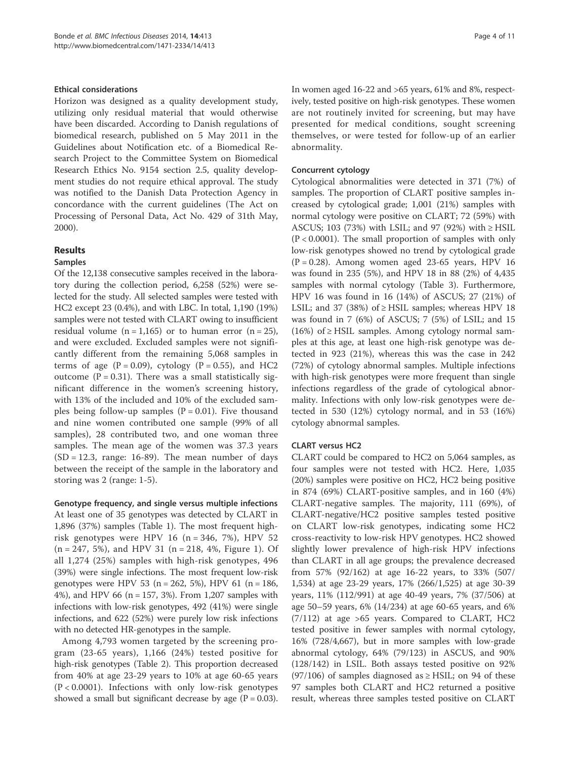#### Ethical considerations

Horizon was designed as a quality development study, utilizing only residual material that would otherwise have been discarded. According to Danish regulations of biomedical research, published on 5 May 2011 in the Guidelines about Notification etc. of a Biomedical Research Project to the Committee System on Biomedical Research Ethics No. 9154 section 2.5, quality development studies do not require ethical approval. The study was notified to the Danish Data Protection Agency in concordance with the current guidelines (The Act on Processing of Personal Data, Act No. 429 of 31th May, 2000).

## Results

#### Samples

Of the 12,138 consecutive samples received in the laboratory during the collection period, 6,258 (52%) were selected for the study. All selected samples were tested with HC2 except 23 (0.4%), and with LBC. In total, 1,190 (19%) samples were not tested with CLART owing to insufficient residual volume  $(n = 1,165)$  or to human error  $(n = 25)$ , and were excluded. Excluded samples were not significantly different from the remaining 5,068 samples in terms of age  $(P = 0.09)$ , cytology  $(P = 0.55)$ , and HC2 outcome ( $P = 0.31$ ). There was a small statistically significant difference in the women's screening history, with 13% of the included and 10% of the excluded samples being follow-up samples  $(P = 0.01)$ . Five thousand and nine women contributed one sample (99% of all samples), 28 contributed two, and one woman three samples. The mean age of the women was 37.3 years  $(SD = 12.3, \text{ range: } 16-89)$ . The mean number of days between the receipt of the sample in the laboratory and storing was 2 (range: 1-5).

Genotype frequency, and single versus multiple infections At least one of 35 genotypes was detected by CLART in 1,896 (37%) samples (Table 1). The most frequent highrisk genotypes were HPV 16 (n = 346, 7%), HPV 52  $(n = 247, 5\%)$ , and HPV 31  $(n = 218, 4\%)$ , Figure 1). Of all 1,274 (25%) samples with high-risk genotypes, 496 (39%) were single infections. The most frequent low-risk genotypes were HPV 53 (n = 262, 5%), HPV 61 (n = 186, 4%), and HPV 66 ( $n = 157$ , 3%). From 1,207 samples with infections with low-risk genotypes, 492 (41%) were single infections, and 622 (52%) were purely low risk infections with no detected HR-genotypes in the sample.

Among 4,793 women targeted by the screening program (23-65 years), 1,166 (24%) tested positive for high-risk genotypes (Table 2). This proportion decreased from 40% at age 23-29 years to 10% at age 60-65 years (P < 0.0001). Infections with only low-risk genotypes showed a small but significant decrease by age  $(P = 0.03)$ . In women aged 16-22 and >65 years, 61% and 8%, respectively, tested positive on high-risk genotypes. These women are not routinely invited for screening, but may have presented for medical conditions, sought screening themselves, or were tested for follow-up of an earlier abnormality.

#### Concurrent cytology

Cytological abnormalities were detected in 371 (7%) of samples. The proportion of CLART positive samples increased by cytological grade; 1,001 (21%) samples with normal cytology were positive on CLART; 72 (59%) with ASCUS; 103 (73%) with LSIL; and 97 (92%) with  $\geq$  HSIL  $(P < 0.0001)$ . The small proportion of samples with only low-risk genotypes showed no trend by cytological grade  $(P = 0.28)$ . Among women aged 23-65 years, HPV 16 was found in 235 (5%), and HPV 18 in 88 (2%) of 4,435 samples with normal cytology (Table 3). Furthermore, HPV 16 was found in 16 (14%) of ASCUS; 27 (21%) of LSIL; and 37 (38%) of  $\geq$  HSIL samples; whereas HPV 18 was found in 7 (6%) of ASCUS; 7 (5%) of LSIL; and 15  $(16%)$  of  $\geq$  HSIL samples. Among cytology normal samples at this age, at least one high-risk genotype was detected in 923 (21%), whereas this was the case in 242 (72%) of cytology abnormal samples. Multiple infections with high-risk genotypes were more frequent than single infections regardless of the grade of cytological abnormality. Infections with only low-risk genotypes were detected in 530 (12%) cytology normal, and in 53 (16%) cytology abnormal samples.

## CLART versus HC2

CLART could be compared to HC2 on 5,064 samples, as four samples were not tested with HC2. Here, 1,035 (20%) samples were positive on HC2, HC2 being positive in 874 (69%) CLART-positive samples, and in 160 (4%) CLART-negative samples. The majority, 111 (69%), of CLART-negative/HC2 positive samples tested positive on CLART low-risk genotypes, indicating some HC2 cross-reactivity to low-risk HPV genotypes. HC2 showed slightly lower prevalence of high-risk HPV infections than CLART in all age groups; the prevalence decreased from 57% (92/162) at age 16-22 years, to 33% (507/ 1,534) at age 23-29 years, 17% (266/1,525) at age 30-39 years, 11% (112/991) at age 40-49 years, 7% (37/506) at age 50–59 years, 6% (14/234) at age 60-65 years, and 6% (7/112) at age >65 years. Compared to CLART, HC2 tested positive in fewer samples with normal cytology, 16% (728/4,667), but in more samples with low-grade abnormal cytology, 64% (79/123) in ASCUS, and 90% (128/142) in LSIL. Both assays tested positive on 92%  $(97/106)$  of samples diagnosed as  $\geq$  HSIL; on 94 of these 97 samples both CLART and HC2 returned a positive result, whereas three samples tested positive on CLART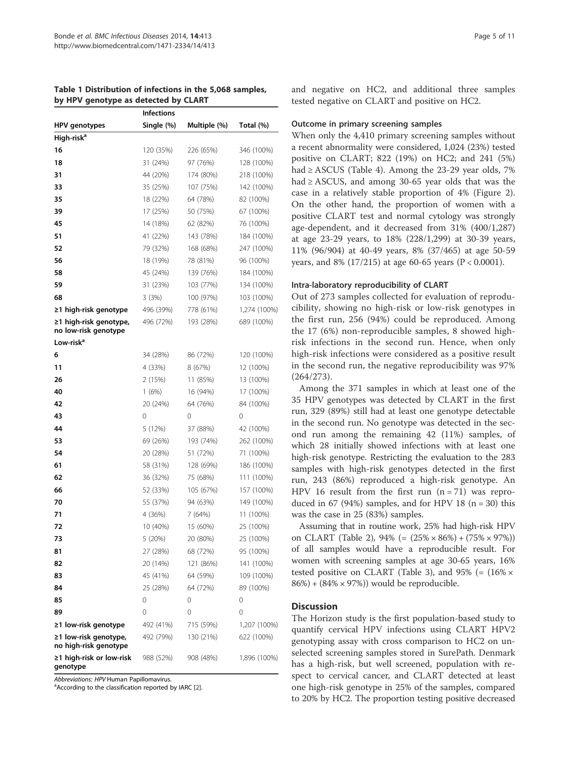|                                                | <b>Infections</b> |              |              |  |  |
|------------------------------------------------|-------------------|--------------|--------------|--|--|
| HPV genotypes                                  | Single (%)        | Multiple (%) | Total (%)    |  |  |
| High-risk <sup>a</sup>                         |                   |              |              |  |  |
| 16                                             | 120 (35%)         | 226 (65%)    | 346 (100%)   |  |  |
| 18                                             | 31 (24%)          | 97 (76%)     | 128 (100%)   |  |  |
| 31                                             | 44 (20%)          | 174 (80%)    | 218 (100%)   |  |  |
| 33                                             | 35 (25%)          | 107 (75%)    | 142 (100%)   |  |  |
| 35                                             | 18 (22%)          | 64 (78%)     | 82 (100%)    |  |  |
| 39                                             | 17 (25%)          | 50 (75%)     | 67 (100%)    |  |  |
| 45                                             | 14 (18%)          | 62 (82%)     | 76 (100%)    |  |  |
| 51                                             | 41 (22%)          | 143 (78%)    | 184 (100%)   |  |  |
| 52                                             | 79 (32%)          | 168 (68%)    | 247 (100%)   |  |  |
| 56                                             | 18 (19%)          | 78 (81%)     | 96 (100%)    |  |  |
| 58                                             | 45 (24%)          | 139 (76%)    | 184 (100%)   |  |  |
| 59                                             | 31 (23%)          | 103 (77%)    | 134 (100%)   |  |  |
| 68                                             | 3 (3%)            | 100 (97%)    | 103 (100%)   |  |  |
| ≥1 high-risk genotype                          | 496 (39%)         | 778 (61%)    | 1,274 (100%) |  |  |
| ≥1 high-risk genotype,<br>no low-risk genotype | 496 (72%)         | 193 (28%)    | 689 (100%)   |  |  |
| Low-risk <sup>a</sup>                          |                   |              |              |  |  |
| 6                                              | 34 (28%)          | 86 (72%)     | 120 (100%)   |  |  |
| 11                                             | 4 (33%)           | 8(67%)       | 12 (100%)    |  |  |
| 26                                             | 2 (15%)           | 11 (85%)     | 13 (100%)    |  |  |
| 40                                             | 1(6%)             | 16 (94%)     | 17 (100%)    |  |  |
| 42                                             | 20 (24%)          | 64 (76%)     | 84 (100%)    |  |  |
| 43                                             | 0                 | 0            | 0            |  |  |
| 44                                             | 5 (12%)           | 37 (88%)     | 42 (100%)    |  |  |
| 53                                             | 69 (26%)          | 193 (74%)    | 262 (100%)   |  |  |
| 54                                             | 20 (28%)          | 51 (72%)     | 71 (100%)    |  |  |
| 61                                             | 58 (31%)          | 128 (69%)    | 186 (100%)   |  |  |
| 62                                             | 36 (32%)          | 75 (68%)     | 111 (100%)   |  |  |
| 66                                             | 52 (33%)          | 105 (67%)    | 157 (100%)   |  |  |
| 70                                             | 55 (37%)          | 94 (63%)     | 149 (100%)   |  |  |
| 71                                             | 4 (36%)           | 7 (64%)      | 11 (100%)    |  |  |
| 72                                             | 10 (40%)          | 15 (60%)     | 25 (100%)    |  |  |
| 73                                             | 5 (20%)           | 20 (80%)     | 25 (100%)    |  |  |
| 81                                             | 27 (28%)          | 68 (72%)     | 95 (100%)    |  |  |
| 82                                             | 20 (14%)          | 121 (86%)    | 141 (100%)   |  |  |
| 83                                             | 45 (41%)          | 64 (59%)     | 109 (100%)   |  |  |
| 84                                             | 25 (28%)          | 64 (72%)     | 89 (100%)    |  |  |
| 85                                             | 0                 | 0            | 0            |  |  |
| 89                                             | 0                 | 0            | 0            |  |  |
| ≥1 low-risk genotype                           | 492 (41%)         | 715 (59%)    | 1,207 (100%) |  |  |
| ≥1 low-risk genotype,<br>no high-risk genotype | 492 (79%)         | 130 (21%)    | 622 (100%)   |  |  |
| ≥1 high-risk or low-risk<br>genotype           | 988 (52%)         | 908 (48%)    | 1,896 (100%) |  |  |

Table 1 Distribution of infections in the 5,068 samples, by HPV genotype as detected by CLART

Abbreviations: HPV Human Papillomavirus.

<sup>a</sup> According to the classification reported by IARC [2].

and negative on HC2, and additional three samples tested negative on CLART and positive on HC2.

#### Outcome in primary screening samples

When only the 4,410 primary screening samples without a recent abnormality were considered, 1,024 (23%) tested positive on CLART; 822 (19%) on HC2; and 241 (5%) had  $\geq$  ASCUS (Table 4). Among the 23-29 year olds, 7% had ≥ ASCUS, and among 30-65 year olds that was the case in a relatively stable proportion of 4% (Figure 2). On the other hand, the proportion of women with a positive CLART test and normal cytology was strongly age-dependent, and it decreased from 31% (400/1,287) at age 23-29 years, to 18% (228/1,299) at 30-39 years, 11% (96/904) at 40-49 years, 8% (37/465) at age 50-59 years, and 8% (17/215) at age 60-65 years ( $P < 0.0001$ ).

#### Intra-laboratory reproducibility of CLART

Out of 273 samples collected for evaluation of reproducibility, showing no high-risk or low-risk genotypes in the first run, 256 (94%) could be reproduced. Among the 17 (6%) non-reproducible samples, 8 showed highrisk infections in the second run. Hence, when only high-risk infections were considered as a positive result in the second run, the negative reproducibility was 97% (264/273).

Among the 371 samples in which at least one of the 35 HPV genotypes was detected by CLART in the first run, 329 (89%) still had at least one genotype detectable in the second run. No genotype was detected in the second run among the remaining 42 (11%) samples, of which 28 initially showed infections with at least one high-risk genotype. Restricting the evaluation to the 283 samples with high-risk genotypes detected in the first run, 243 (86%) reproduced a high-risk genotype. An HPV 16 result from the first run  $(n = 71)$  was reproduced in 67 (94%) samples, and for HPV 18 ( $n = 30$ ) this was the case in 25 (83%) samples.

Assuming that in routine work, 25% had high-risk HPV on CLART (Table 2), 94% (= (25% × 86%) + (75% × 97%)) of all samples would have a reproducible result. For women with screening samples at age 30-65 years, 16% tested positive on CLART (Table 3), and 95% (=  $(16\% \times$  $86\%) + (84\% \times 97\%)$  would be reproducible.

#### Discussion

The Horizon study is the first population-based study to quantify cervical HPV infections using CLART HPV2 genotyping assay with cross comparison to HC2 on unselected screening samples stored in SurePath. Denmark has a high-risk, but well screened, population with respect to cervical cancer, and CLART detected at least one high-risk genotype in 25% of the samples, compared to 20% by HC2. The proportion testing positive decreased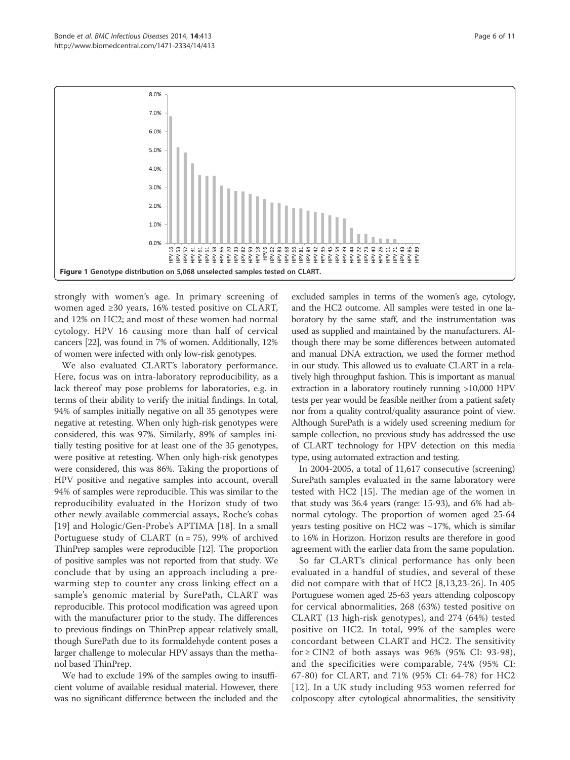

strongly with women's age. In primary screening of women aged ≥30 years, 16% tested positive on CLART, and 12% on HC2; and most of these women had normal cytology. HPV 16 causing more than half of cervical cancers [22], was found in 7% of women. Additionally, 12% of women were infected with only low-risk genotypes.

We also evaluated CLART's laboratory performance. Here, focus was on intra-laboratory reproducibility, as a lack thereof may pose problems for laboratories, e.g. in terms of their ability to verify the initial findings. In total, 94% of samples initially negative on all 35 genotypes were negative at retesting. When only high-risk genotypes were considered, this was 97%. Similarly, 89% of samples initially testing positive for at least one of the 35 genotypes, were positive at retesting. When only high-risk genotypes were considered, this was 86%. Taking the proportions of HPV positive and negative samples into account, overall 94% of samples were reproducible. This was similar to the reproducibility evaluated in the Horizon study of two other newly available commercial assays, Roche's cobas [19] and Hologic/Gen-Probe's APTIMA [18]. In a small Portuguese study of CLART ( $n = 75$ ), 99% of archived ThinPrep samples were reproducible [12]. The proportion of positive samples was not reported from that study. We conclude that by using an approach including a prewarming step to counter any cross linking effect on a sample's genomic material by SurePath, CLART was reproducible. This protocol modification was agreed upon with the manufacturer prior to the study. The differences to previous findings on ThinPrep appear relatively small, though SurePath due to its formaldehyde content poses a larger challenge to molecular HPV assays than the methanol based ThinPrep.

We had to exclude 19% of the samples owing to insufficient volume of available residual material. However, there was no significant difference between the included and the

excluded samples in terms of the women's age, cytology, and the HC2 outcome. All samples were tested in one laboratory by the same staff, and the instrumentation was used as supplied and maintained by the manufacturers. Although there may be some differences between automated and manual DNA extraction, we used the former method in our study. This allowed us to evaluate CLART in a relatively high throughput fashion. This is important as manual extraction in a laboratory routinely running >10,000 HPV tests per year would be feasible neither from a patient safety nor from a quality control/quality assurance point of view. Although SurePath is a widely used screening medium for sample collection, no previous study has addressed the use of CLART technology for HPV detection on this media type, using automated extraction and testing.

In 2004-2005, a total of 11,617 consecutive (screening) SurePath samples evaluated in the same laboratory were tested with HC2 [15]. The median age of the women in that study was 36.4 years (range: 15-93), and 6% had abnormal cytology. The proportion of women aged 25-64 years testing positive on HC2 was  $\sim$ 17%, which is similar to 16% in Horizon. Horizon results are therefore in good agreement with the earlier data from the same population.

So far CLART's clinical performance has only been evaluated in a handful of studies, and several of these did not compare with that of HC2 [8,13,23-26]. In 405 Portuguese women aged 25-63 years attending colposcopy for cervical abnormalities, 268 (63%) tested positive on CLART (13 high-risk genotypes), and 274 (64%) tested positive on HC2. In total, 99% of the samples were concordant between CLART and HC2. The sensitivity for  $\geq$  CIN2 of both assays was 96% (95% CI: 93-98), and the specificities were comparable, 74% (95% CI: 67-80) for CLART, and 71% (95% CI: 64-78) for HC2 [12]. In a UK study including 953 women referred for colposcopy after cytological abnormalities, the sensitivity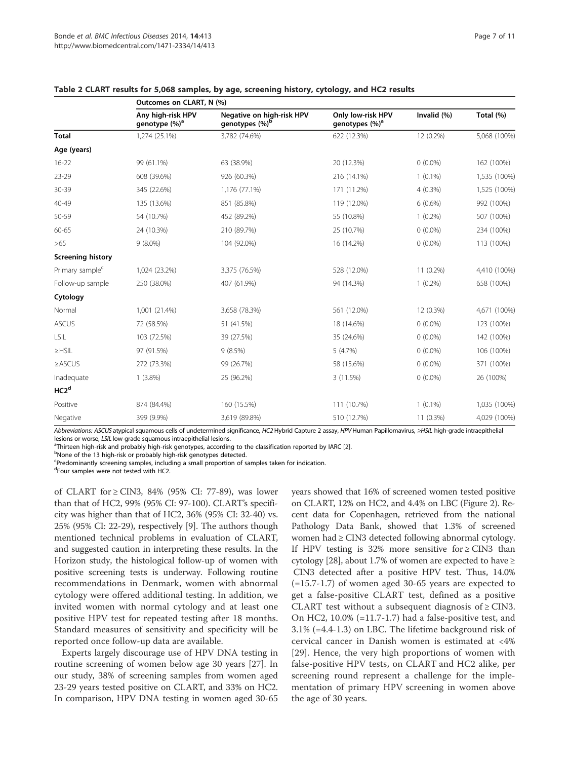|                             | Outcomes on CLART, N (%)                       |                                                         |                                                 |                |              |  |
|-----------------------------|------------------------------------------------|---------------------------------------------------------|-------------------------------------------------|----------------|--------------|--|
|                             | Any high-risk HPV<br>genotype (%) <sup>a</sup> | Negative on high-risk HPV<br>genotypes (%) <sup>b</sup> | Only low-risk HPV<br>genotypes (%) <sup>a</sup> | Invalid $(% )$ | Total (%)    |  |
| <b>Total</b>                | 1,274 (25.1%)                                  | 3,782 (74.6%)                                           | 622 (12.3%)                                     | 12 (0.2%)      | 5,068 (100%) |  |
| Age (years)                 |                                                |                                                         |                                                 |                |              |  |
| $16 - 22$                   | 99 (61.1%)                                     | 63 (38.9%)                                              | 20 (12.3%)                                      | $0(0.0\%)$     | 162 (100%)   |  |
| 23-29                       | 608 (39.6%)                                    | 926 (60.3%)                                             | 216 (14.1%)                                     | $1(0.1\%)$     | 1,535 (100%) |  |
| 30-39                       | 345 (22.6%)                                    | 1,176 (77.1%)                                           | 171 (11.2%)                                     | $4(0.3\%)$     | 1,525 (100%) |  |
| 40-49                       | 135 (13.6%)                                    | 851 (85.8%)                                             | 119 (12.0%)                                     | $6(0.6\%)$     | 992 (100%)   |  |
| 50-59                       | 54 (10.7%)                                     | 452 (89.2%)                                             | 55 (10.8%)                                      | $1(0.2\%)$     | 507 (100%)   |  |
| 60-65                       | 24 (10.3%)                                     | 210 (89.7%)                                             | 25 (10.7%)                                      | $0(0.0\%)$     | 234 (100%)   |  |
| >65                         | $9(8.0\%)$                                     | 104 (92.0%)                                             | 16 (14.2%)                                      | $0(0.0\%)$     | 113 (100%)   |  |
| <b>Screening history</b>    |                                                |                                                         |                                                 |                |              |  |
| Primary sample <sup>c</sup> | 1,024 (23.2%)                                  | 3,375 (76.5%)                                           | 528 (12.0%)                                     | 11 (0.2%)      | 4,410 (100%) |  |
| Follow-up sample            | 250 (38.0%)                                    | 407 (61.9%)                                             | 94 (14.3%)                                      | $1(0.2\%)$     | 658 (100%)   |  |
| Cytology                    |                                                |                                                         |                                                 |                |              |  |
| Normal                      | 1,001 (21.4%)                                  | 3,658 (78.3%)                                           | 561 (12.0%)                                     | 12 (0.3%)      | 4,671 (100%) |  |
| <b>ASCUS</b>                | 72 (58.5%)                                     | 51 (41.5%)                                              | 18 (14.6%)                                      | $0(0.0\%)$     | 123 (100%)   |  |
| LSIL                        | 103 (72.5%)                                    | 39 (27.5%)                                              | 35 (24.6%)                                      | $0(0.0\%)$     | 142 (100%)   |  |
| $\geq$ HSIL                 | 97 (91.5%)                                     | 9(8.5%)                                                 | 5(4.7%)                                         | $0(0.0\%)$     | 106 (100%)   |  |
| $\geq$ ASCUS                | 272 (73.3%)                                    | 99 (26.7%)                                              | 58 (15.6%)                                      | $0(0.0\%)$     | 371 (100%)   |  |
| Inadequate                  | $1(3.8\%)$                                     | 25 (96.2%)                                              | 3 (11.5%)                                       | $0(0.0\%)$     | 26 (100%)    |  |
| HC2 <sup>d</sup>            |                                                |                                                         |                                                 |                |              |  |
| Positive                    | 874 (84.4%)                                    | 160 (15.5%)                                             | 111 (10.7%)                                     | $1(0.1\%)$     | 1,035 (100%) |  |
| Negative                    | 399 (9.9%)                                     | 3,619 (89.8%)                                           | 510 (12.7%)                                     | 11 (0.3%)      | 4,029 (100%) |  |

| Table 2 CLART results for 5,068 samples, by age, screening history, cytology, and HC2 results |  |
|-----------------------------------------------------------------------------------------------|--|
|-----------------------------------------------------------------------------------------------|--|

Abbreviations: ASCUS atypical squamous cells of undetermined significance, HC2 Hybrid Capture 2 assay, HPV Human Papillomavirus, ≥HSIL high-grade intraepithelial lesions or worse, LSIL low-grade squamous intraepithelial lesions.

 $^{\text{a}}$ Thirteen high-risk and probably high-risk genotypes, according to the classification reported by IARC [2].

bNone of the 13 high-risk or probably high-risk genotypes detected.

Predominantly screening samples, including a small proportion of samples taken for indication.

d Four samples were not tested with HC2.

of CLART for  $\geq$  CIN3, 84% (95% CI: 77-89), was lower than that of HC2, 99% (95% CI: 97-100). CLART's specificity was higher than that of HC2, 36% (95% CI: 32-40) vs. 25% (95% CI: 22-29), respectively [9]. The authors though mentioned technical problems in evaluation of CLART, and suggested caution in interpreting these results. In the Horizon study, the histological follow-up of women with positive screening tests is underway. Following routine recommendations in Denmark, women with abnormal cytology were offered additional testing. In addition, we invited women with normal cytology and at least one positive HPV test for repeated testing after 18 months. Standard measures of sensitivity and specificity will be reported once follow-up data are available.

Experts largely discourage use of HPV DNA testing in routine screening of women below age 30 years [27]. In our study, 38% of screening samples from women aged 23-29 years tested positive on CLART, and 33% on HC2. In comparison, HPV DNA testing in women aged 30-65 years showed that 16% of screened women tested positive on CLART, 12% on HC2, and 4.4% on LBC (Figure 2). Recent data for Copenhagen, retrieved from the national Pathology Data Bank, showed that 1.3% of screened women had ≥ CIN3 detected following abnormal cytology. If HPV testing is 32% more sensitive for  $\geq$  CIN3 than cytology [28], about 1.7% of women are expected to have  $\ge$ CIN3 detected after a positive HPV test. Thus, 14.0% (=15.7-1.7) of women aged 30-65 years are expected to get a false-positive CLART test, defined as a positive CLART test without a subsequent diagnosis of  $\geq$  CIN3. On HC2, 10.0% (=11.7-1.7) had a false-positive test, and 3.1% (=4.4-1.3) on LBC. The lifetime background risk of cervical cancer in Danish women is estimated at <4% [29]. Hence, the very high proportions of women with false-positive HPV tests, on CLART and HC2 alike, per screening round represent a challenge for the implementation of primary HPV screening in women above the age of 30 years.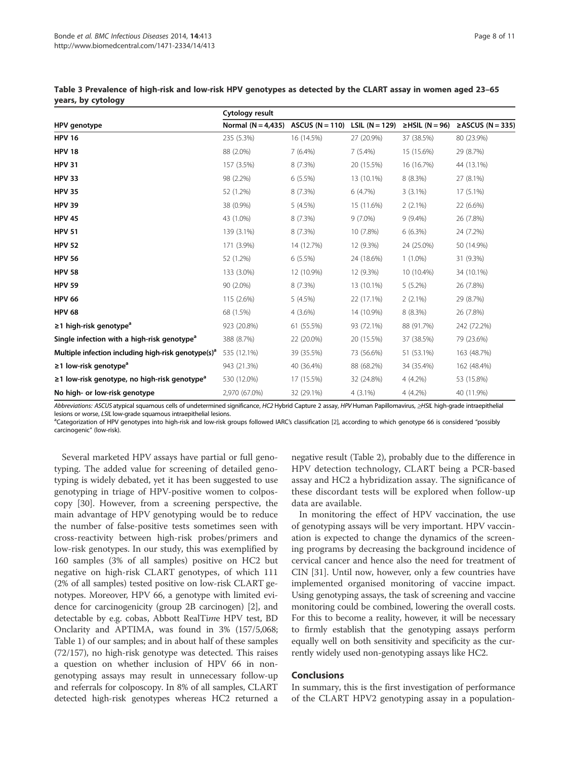|                                                                 | Cytology result                                   |            |            |                      |                        |  |
|-----------------------------------------------------------------|---------------------------------------------------|------------|------------|----------------------|------------------------|--|
| HPV genotype                                                    | Normal (N = 4.435) ASCUS (N = 110) LSIL (N = 129) |            |            | $\geq$ HSIL (N = 96) | $\geq$ ASCUS (N = 335) |  |
| <b>HPV 16</b>                                                   | 235 (5.3%)                                        | 16 (14.5%) | 27 (20.9%) | 37 (38.5%)           | 80 (23.9%)             |  |
| <b>HPV 18</b>                                                   | 88 (2.0%)                                         | $7(6.4\%)$ | 7(5.4%)    | 15 (15.6%)           | 29 (8.7%)              |  |
| <b>HPV 31</b>                                                   | 157 (3.5%)                                        | 8(7.3%)    | 20 (15.5%) | 16 (16.7%)           | 44 (13.1%)             |  |
| <b>HPV 33</b>                                                   | 98 (2.2%)                                         | 6(5.5%)    | 13 (10.1%) | 8 (8.3%)             | 27 (8.1%)              |  |
| <b>HPV 35</b>                                                   | 52 (1.2%)                                         | 8(7.3%)    | 6(4.7%)    | $3(3.1\%)$           | 17 (5.1%)              |  |
| <b>HPV 39</b>                                                   | 38 (0.9%)                                         | 5(4.5%)    | 15 (11.6%) | $2(2.1\%)$           | 22 (6.6%)              |  |
| <b>HPV 45</b>                                                   | 43 (1.0%)                                         | 8 (7.3%)   | $9(7.0\%)$ | $9(9.4\%)$           | 26 (7.8%)              |  |
| <b>HPV 51</b>                                                   | 139 (3.1%)                                        | 8(7.3%)    | 10 (7.8%)  | 6(6.3%)              | 24 (7.2%)              |  |
| <b>HPV 52</b>                                                   | 171 (3.9%)                                        | 14 (12.7%) | 12 (9.3%)  | 24 (25.0%)           | 50 (14.9%)             |  |
| <b>HPV 56</b>                                                   | 52 (1.2%)                                         | 6(5.5%)    | 24 (18.6%) | $1(1.0\%)$           | 31 (9.3%)              |  |
| <b>HPV 58</b>                                                   | 133 (3.0%)                                        | 12 (10.9%) | 12 (9.3%)  | 10 (10.4%)           | 34 (10.1%)             |  |
| <b>HPV 59</b>                                                   | 90 (2.0%)                                         | 8(7.3%)    | 13 (10.1%) | $5(5.2\%)$           | 26 (7.8%)              |  |
| <b>HPV 66</b>                                                   | 115 (2.6%)                                        | 5(4.5%)    | 22 (17.1%) | $2(2.1\%)$           | 29 (8.7%)              |  |
| <b>HPV 68</b>                                                   | 68 (1.5%)                                         | $4(3.6\%)$ | 14 (10.9%) | 8 (8.3%)             | 26 (7.8%)              |  |
| $\geq$ 1 high-risk genotype <sup>a</sup>                        | 923 (20.8%)                                       | 61 (55.5%) | 93 (72.1%) | 88 (91.7%)           | 242 (72.2%)            |  |
| Single infection with a high-risk genotype <sup>a</sup>         | 388 (8.7%)                                        | 22 (20.0%) | 20 (15.5%) | 37 (38.5%)           | 79 (23.6%)             |  |
| Multiple infection including high-risk genotype(s) <sup>a</sup> | 535 (12.1%)                                       | 39 (35.5%) | 73 (56.6%) | 51 (53.1%)           | 163 (48.7%)            |  |
| $\geq$ 1 low-risk genotype <sup>a</sup>                         | 943 (21.3%)                                       | 40 (36.4%) | 88 (68.2%) | 34 (35.4%)           | 162 (48.4%)            |  |
| ≥1 low-risk genotype, no high-risk genotype <sup>a</sup>        | 530 (12.0%)                                       | 17 (15.5%) | 32 (24.8%) | 4 (4.2%)             | 53 (15.8%)             |  |
| No high- or low-risk genotype                                   | 2,970 (67.0%)                                     | 32 (29.1%) | $4(3.1\%)$ | $4(4.2\%)$           | 40 (11.9%)             |  |

Table 3 Prevalence of high-risk and low-risk HPV genotypes as detected by the CLART assay in women aged 23–65 years, by cytology

Abbreviations: ASCUS atypical squamous cells of undetermined significance, HC2 Hybrid Capture 2 assay, HPV Human Papillomavirus, ≥HSIL high-grade intraepithelial lesions or worse, LSIL low-grade squamous intraepithelial lesions.

<sup>a</sup>Categorization of HPV genotypes into high-risk and low-risk groups followed IARC's classification [2], according to which genotype 66 is considered "possibly carcinogenic" (low-risk).

Several marketed HPV assays have partial or full genotyping. The added value for screening of detailed genotyping is widely debated, yet it has been suggested to use genotyping in triage of HPV-positive women to colposcopy [30]. However, from a screening perspective, the main advantage of HPV genotyping would be to reduce the number of false-positive tests sometimes seen with cross-reactivity between high-risk probes/primers and low-risk genotypes. In our study, this was exemplified by 160 samples (3% of all samples) positive on HC2 but negative on high-risk CLART genotypes, of which 111 (2% of all samples) tested positive on low-risk CLART genotypes. Moreover, HPV 66, a genotype with limited evidence for carcinogenicity (group 2B carcinogen) [2], and detectable by e.g. cobas, Abbott RealTime HPV test, BD Onclarity and APTIMA, was found in 3% (157/5,068; Table 1) of our samples; and in about half of these samples (72/157), no high-risk genotype was detected. This raises a question on whether inclusion of HPV 66 in nongenotyping assays may result in unnecessary follow-up and referrals for colposcopy. In 8% of all samples, CLART detected high-risk genotypes whereas HC2 returned a negative result (Table 2), probably due to the difference in HPV detection technology, CLART being a PCR-based assay and HC2 a hybridization assay. The significance of these discordant tests will be explored when follow-up data are available.

In monitoring the effect of HPV vaccination, the use of genotyping assays will be very important. HPV vaccination is expected to change the dynamics of the screening programs by decreasing the background incidence of cervical cancer and hence also the need for treatment of CIN [31]. Until now, however, only a few countries have implemented organised monitoring of vaccine impact. Using genotyping assays, the task of screening and vaccine monitoring could be combined, lowering the overall costs. For this to become a reality, however, it will be necessary to firmly establish that the genotyping assays perform equally well on both sensitivity and specificity as the currently widely used non-genotyping assays like HC2.

#### Conclusions

In summary, this is the first investigation of performance of the CLART HPV2 genotyping assay in a population-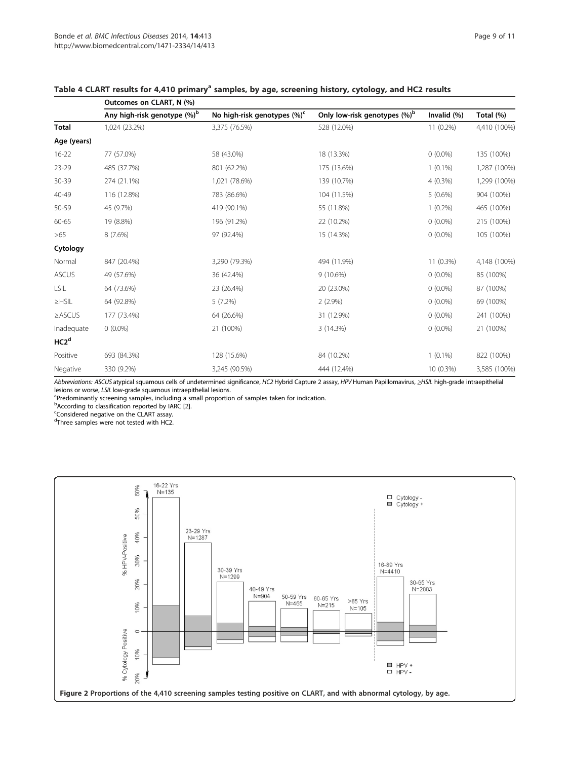|                  | Outcomes on CLART, N (%)                |                                         |                                          |                |              |  |  |
|------------------|-----------------------------------------|-----------------------------------------|------------------------------------------|----------------|--------------|--|--|
|                  | Any high-risk genotype (%) <sup>b</sup> | No high-risk genotypes (%) <sup>c</sup> | Only low-risk genotypes (%) <sup>b</sup> | Invalid $(\%)$ | Total (%)    |  |  |
| <b>Total</b>     | 1,024 (23.2%)                           | 3,375 (76.5%)                           | 528 (12.0%)                              | 11 (0.2%)      | 4,410 (100%) |  |  |
| Age (years)      |                                         |                                         |                                          |                |              |  |  |
| $16 - 22$        | 77 (57.0%)                              | 58 (43.0%)                              | 18 (13.3%)                               | $0(0.0\%)$     | 135 (100%)   |  |  |
| 23-29            | 485 (37.7%)                             | 801 (62.2%)                             | 175 (13.6%)                              | $1(0.1\%)$     | 1,287 (100%) |  |  |
| 30-39            | 274 (21.1%)                             | 1,021 (78.6%)                           | 139 (10.7%)                              | $4(0.3\%)$     | 1,299 (100%) |  |  |
| 40-49            | 116 (12.8%)                             | 783 (86.6%)                             | 104 (11.5%)                              | $5(0.6\%)$     | 904 (100%)   |  |  |
| 50-59            | 45 (9.7%)                               | 419 (90.1%)                             | 55 (11.8%)                               | $1(0.2\%)$     | 465 (100%)   |  |  |
| 60-65            | 19 (8.8%)                               | 196 (91.2%)                             | 22 (10.2%)                               | $0(0.0\%)$     | 215 (100%)   |  |  |
| >65              | 8(7.6%)                                 | 97 (92.4%)                              | 15 (14.3%)                               | $0(0.0\%)$     | 105 (100%)   |  |  |
| Cytology         |                                         |                                         |                                          |                |              |  |  |
| Normal           | 847 (20.4%)                             | 3,290 (79.3%)                           | 494 (11.9%)                              | 11 (0.3%)      | 4,148 (100%) |  |  |
| <b>ASCUS</b>     | 49 (57.6%)                              | 36 (42.4%)                              | $9(10.6\%)$                              | $0(0.0\%)$     | 85 (100%)    |  |  |
| LSIL             | 64 (73.6%)                              | 23 (26.4%)                              | 20 (23.0%)                               | $0(0.0\%)$     | 87 (100%)    |  |  |
| $\geq$ HSIL      | 64 (92.8%)                              | 5(7.2%)                                 | $2(2.9\%)$                               | $0(0.0\%)$     | 69 (100%)    |  |  |
| $\geq$ ASCUS     | 177 (73.4%)                             | 64 (26.6%)                              | 31 (12.9%)                               | $0(0.0\%)$     | 241 (100%)   |  |  |
| Inadequate       | $0(0.0\%)$                              | 21 (100%)                               | 3 (14.3%)                                | $0(0.0\%)$     | 21 (100%)    |  |  |
| HC2 <sup>d</sup> |                                         |                                         |                                          |                |              |  |  |
| Positive         | 693 (84.3%)                             | 128 (15.6%)                             | 84 (10.2%)                               | $1(0.1\%)$     | 822 (100%)   |  |  |
| Negative         | 330 (9.2%)                              | 3,245 (90.5%)                           | 444 (12.4%)                              | 10 (0.3%)      | 3,585 (100%) |  |  |

## Table 4 CLART results for 4,410 primary<sup>a</sup> samples, by age, screening history, cytology, and HC2 results

Abbreviations: ASCUS atypical squamous cells of undetermined significance, HC2 Hybrid Capture 2 assay, HPV Human Papillomavirus, ≥HSIL high-grade intraepithelial lesions or worse, LSIL low-grade squamous intraepithelial lesions.

<sup>a</sup>Predominantly screening samples, including a small proportion of samples taken for indication.

 $b$  According to classification reported by IARC [2].

Considered negative on the CLART assay.

d Three samples were not tested with HC2.

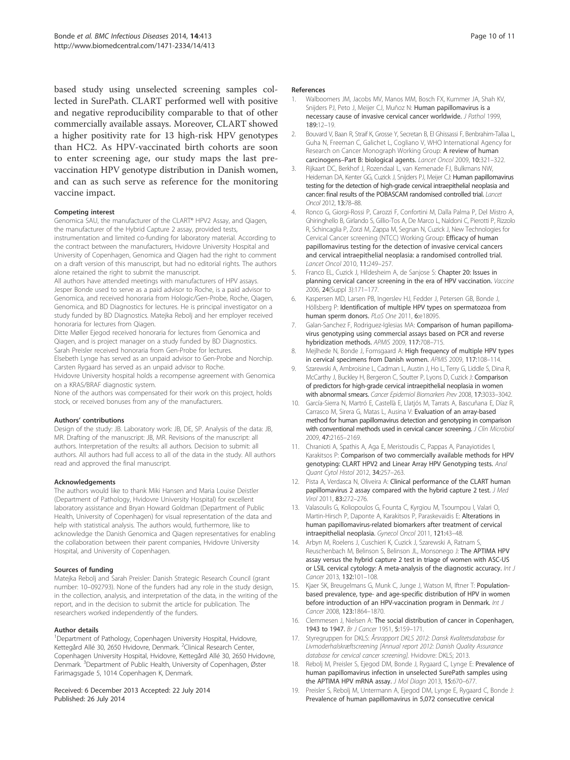based study using unselected screening samples collected in SurePath. CLART performed well with positive and negative reproducibility comparable to that of other commercially available assays. Moreover, CLART showed a higher positivity rate for 13 high-risk HPV genotypes than HC2. As HPV-vaccinated birth cohorts are soon to enter screening age, our study maps the last prevaccination HPV genotype distribution in Danish women, and can as such serve as reference for the monitoring vaccine impact.

#### Competing interest

Genomica SAU, the manufacturer of the CLART® HPV2 Assay, and Qiagen, the manufacturer of the Hybrid Capture 2 assay, provided tests, instrumentation and limited co-funding for laboratory material. According to the contract between the manufacturers, Hvidovre University Hospital and University of Copenhagen, Genomica and Qiagen had the right to comment on a draft version of this manuscript, but had no editorial rights. The authors alone retained the right to submit the manuscript.

All authors have attended meetings with manufacturers of HPV assays. Jesper Bonde used to serve as a paid advisor to Roche, is a paid advisor to Genomica, and received honoraria from Hologic/Gen-Probe, Roche, Qiagen, Genomica, and BD Diagnostics for lectures. He is principal investigator on a study funded by BD Diagnostics. Matejka Rebolj and her employer received honoraria for lectures from Qiagen.

Ditte Møller Ejegod received honoraria for lectures from Genomica and Qiagen, and is project manager on a study funded by BD Diagnostics. Sarah Preisler received honoraria from Gen-Probe for lectures.

Elsebeth Lynge has served as an unpaid advisor to Gen-Probe and Norchip. Carsten Rygaard has served as an unpaid advisor to Roche.

Hvidovre University hospital holds a recompense agreement with Genomica on a KRAS/BRAF diagnostic system.

None of the authors was compensated for their work on this project, holds stock, or received bonuses from any of the manufacturers.

#### Authors' contributions

Design of the study: JB. Laboratory work: JB, DE, SP. Analysis of the data: JB, MR. Drafting of the manuscript: JB, MR. Revisions of the manuscript: all authors. Interpretation of the results: all authors. Decision to submit: all authors. All authors had full access to all of the data in the study. All authors read and approved the final manuscript.

#### Acknowledgements

The authors would like to thank Miki Hansen and Maria Louise Deistler (Department of Pathology, Hvidovre University Hospital) for excellent laboratory assistance and Bryan Howard Goldman (Department of Public Health, University of Copenhagen) for visual representation of the data and help with statistical analysis. The authors would, furthermore, like to acknowledge the Danish Genomica and Qiagen representatives for enabling the collaboration between their parent companies, Hvidovre University Hospital, and University of Copenhagen.

#### Sources of funding

Matejka Rebolj and Sarah Preisler: Danish Strategic Research Council (grant number: 10–092793). None of the funders had any role in the study design, in the collection, analysis, and interpretation of the data, in the writing of the report, and in the decision to submit the article for publication. The researchers worked independently of the funders.

#### Author details

<sup>1</sup>Department of Pathology, Copenhagen University Hospital, Hvidovre, Kettegård Allé 30, 2650 Hvidovre, Denmark. <sup>2</sup>Clinical Research Center, Copenhagen University Hospital, Hvidovre, Kettegård Allé 30, 2650 Hvidovre, Denmark. <sup>3</sup>Department of Public Health, University of Copenhagen, Øster Farimagsgade 5, 1014 Copenhagen K, Denmark.

Received: 6 December 2013 Accepted: 22 July 2014 Published: 26 July 2014

#### References

- 1. Walboomers JM, Jacobs MV, Manos MM, Bosch FX, Kummer JA, Shah KV, Snijders PJ, Peto J, Meijer CJ, Muñoz N: Human papillomavirus is a necessary cause of invasive cervical cancer worldwide. J Pathol 1999, 189:12–19.
- 2. Bouvard V, Baan R, Straif K, Grosse Y, Secretan B, El Ghissassi F, Benbrahim-Tallaa L, Guha N, Freeman C, Galichet L, Cogliano V, WHO International Agency for Research on Cancer Monograph Working Group: A review of human carcinogens–Part B: biological agents. Lancet Oncol 2009, 10:321–322.
- 3. Rijkaart DC, Berkhof J, Rozendaal L, van Kemenade FJ, Bulkmans NW, Heideman DA, Kenter GG, Cuzick J, Snijders PJ, Meijer CJ: Human papillomavirus testing for the detection of high-grade cervical intraepithelial neoplasia and cancer: final results of the POBASCAM randomised controlled trial. Lancet Oncol 2012, 13:78–88.
- 4. Ronco G, Giorgi-Rossi P, Carozzi F, Confortini M, Dalla Palma P, Del Mistro A, Ghiringhello B, Girlando S, Gillio-Tos A, De Marco L, Naldoni C, Pierotti P, Rizzolo R, Schincaglia P, Zorzi M, Zappa M, Segnan N, Cuzick J, New Technologies for Cervical Cancer screening (NTCC) Working Group: Efficacy of human papillomavirus testing for the detection of invasive cervical cancers and cervical intraepithelial neoplasia: a randomised controlled trial. Lancet Oncol 2010, 11:249–257.
- 5. Franco EL, Cuzick J, Hildesheim A, de Sanjose S: Chapter 20: Issues in planning cervical cancer screening in the era of HPV vaccination. Vaccine 2006, 24(Suppl 3):171–177.
- 6. Kaspersen MD, Larsen PB, Ingerslev HJ, Fedder J, Petersen GB, Bonde J, Höllsberg P: Identification of multiple HPV types on spermatozoa from human sperm donors. PLoS One 2011, 6:e18095.
- 7. Galan-Sanchez F, Rodriguez-Iglesias MA: Comparison of human papillomavirus genotyping using commercial assays based on PCR and reverse hybridization methods. APMIS 2009, 117:708–715.
- 8. Mejlhede N, Bonde J, Fomsgaard A: High frequency of multiple HPV types in cervical specimens from Danish women. APMIS 2009, 117:108–114.
- Szarewski A, Ambroisine L, Cadman L, Austin J, Ho L, Terry G, Liddle S, Dina R, McCarthy J, Buckley H, Bergeron C, Soutter P, Lyons D, Cuzick J: Comparison of predictors for high-grade cervical intraepithelial neoplasia in women with abnormal smears. Cancer Epidemiol Biomarkers Prev 2008, 17:3033-3042.
- 10. García-Sierra N, Martró E, Castellà E, Llatjós M, Tarrats A, Bascuñana E, Díaz R, Carrasco M, Sirera G, Matas L, Ausina V: Evaluation of an array-based method for human papillomavirus detection and genotyping in comparison with conventional methods used in cervical cancer screening. J Clin Microbiol 2009, 47:2165–2169.
- 11. Chranioti A, Spathis A, Aga E, Meristoudis C, Pappas A, Panayiotides I, Karakitsos P: Comparison of two commercially available methods for HPV genotyping: CLART HPV2 and Linear Array HPV Genotyping tests. Anal Quant Cytol Histol 2012, 34:257–263.
- 12. Pista A, Verdasca N, Oliveira A: Clinical performance of the CLART human papillomavirus 2 assay compared with the hybrid capture 2 test. J Med Virol 2011, 83:272–276.
- 13. Valasoulis G, Koliopoulos G, Founta C, Kyrgiou M, Tsoumpou I, Valari O, Martin-Hirsch P, Daponte A, Karakitsos P, Paraskevaidis E: Alterations in human papillomavirus-related biomarkers after treatment of cervical intraepithelial neoplasia. Gynecol Oncol 2011, 121:43–48.
- 14. Arbyn M, Roelens J, Cuschieri K, Cuzick J, Szarewski A, Ratnam S, Reuschenbach M, Belinson S, Belinson JL, Monsonego J: The APTIMA HPV assay versus the hybrid capture 2 test in triage of women with ASC-US or LSIL cervical cytology: A meta-analysis of the diagnostic accuracy. Int J Cancer 2013, 132:101–108.
- 15. Kjaer SK, Breugelmans G, Munk C, Junge J, Watson M, Iftner T: Populationbased prevalence, type- and age-specific distribution of HPV in women before introduction of an HPV-vaccination program in Denmark. Int J Cancer 2008, 123:1864–1870.
- 16. Clemmesen J, Nielsen A: The social distribution of cancer in Copenhagen, 1943 to 1947. Br J Cancer 1951, 5:159-171.
- 17. Styregruppen for DKLS: Årsrapport DKLS 2012: Dansk Kvalitetsdatabase for Livmoderhalskræftscreening [Annual report 2012: Danish Quality Assurance database for cervical cancer screening]. Hvidovre: DKLS; 2013.
- 18. Rebolj M, Preisler S, Ejegod DM, Bonde J, Rygaard C, Lynge E: Prevalence of human papillomavirus infection in unselected SurePath samples using the APTIMA HPV mRNA assay. J Mol Diagn 2013, 15:670–677.
- 19. Preisler S, Rebolj M, Untermann A, Ejegod DM, Lynge E, Rygaard C, Bonde J: Prevalence of human papillomavirus in 5,072 consecutive cervical